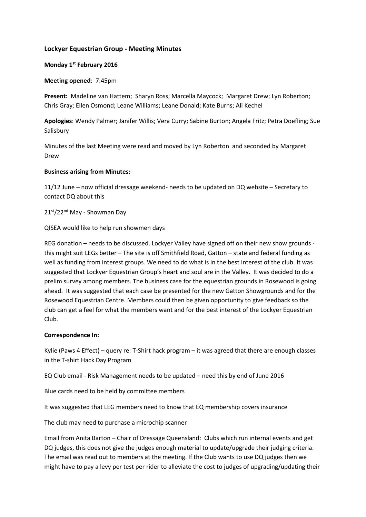# **Lockyer Equestrian Group - Meeting Minutes**

# **Monday 1 st February 2016**

### **Meeting opened**: 7:45pm

**Present:** Madeline van Hattem; Sharyn Ross; Marcella Maycock; Margaret Drew; Lyn Roberton; Chris Gray; Ellen Osmond; Leane Williams; Leane Donald; Kate Burns; Ali Kechel

**Apologies**: Wendy Palmer; Janifer Willis; Vera Curry; Sabine Burton; Angela Fritz; Petra Doefling; Sue Salisbury

Minutes of the last Meeting were read and moved by Lyn Roberton and seconded by Margaret Drew

### **Business arising from Minutes:**

11/12 June – now official dressage weekend- needs to be updated on DQ website – Secretary to contact DQ about this

21st/22<sup>nd</sup> May - Showman Day

QISEA would like to help run showmen days

REG donation – needs to be discussed. Lockyer Valley have signed off on their new show grounds this might suit LEGs better – The site is off Smithfield Road, Gatton – state and federal funding as well as funding from interest groups. We need to do what is in the best interest of the club. It was suggested that Lockyer Equestrian Group's heart and soul are in the Valley. It was decided to do a prelim survey among members. The business case for the equestrian grounds in Rosewood is going ahead. It was suggested that each case be presented for the new Gatton Showgrounds and for the Rosewood Equestrian Centre. Members could then be given opportunity to give feedback so the club can get a feel for what the members want and for the best interest of the Lockyer Equestrian Club.

# **Correspondence In:**

Kylie (Paws 4 Effect) – query re: T-Shirt hack program – it was agreed that there are enough classes in the T-shirt Hack Day Program

EQ Club email - Risk Management needs to be updated – need this by end of June 2016

Blue cards need to be held by committee members

It was suggested that LEG members need to know that EQ membership covers insurance

The club may need to purchase a microchip scanner

Email from Anita Barton – Chair of Dressage Queensland: Clubs which run internal events and get DQ judges, this does not give the judges enough material to update/upgrade their judging criteria. The email was read out to members at the meeting. If the Club wants to use DQ judges then we might have to pay a levy per test per rider to alleviate the cost to judges of upgrading/updating their